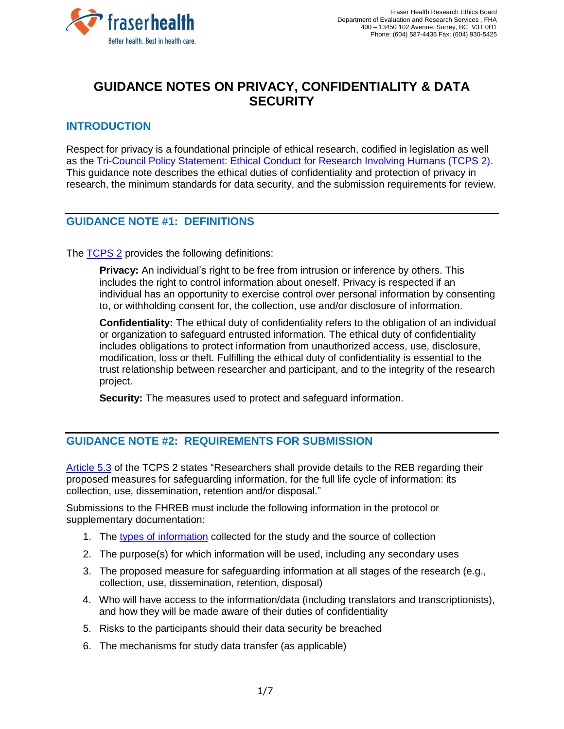

# **GUIDANCE NOTES ON PRIVACY, CONFIDENTIALITY & DATA SECURITY**

## **INTRODUCTION**

Respect for privacy is a foundational principle of ethical research, codified in legislation as well as the [Tri-Council Policy Statement: Ethical Conduct for Research Involving Humans \(TCPS 2\).](http://www.pre.ethics.gc.ca/eng/documents/tcps2-2018-en-interactive-final.pdf) This guidance note describes the ethical duties of confidentiality and protection of privacy in research, the minimum standards for data security, and the submission requirements for review.

### **GUIDANCE NOTE #1: DEFINITIONS**

The [TCPS 2](http://www.pre.ethics.gc.ca/eng/documents/tcps2-2018-en-interactive-final.pdf) provides the following definitions:

**Privacy:** An individual's right to be free from intrusion or inference by others. This includes the right to control information about oneself. Privacy is respected if an individual has an opportunity to exercise control over personal information by consenting to, or withholding consent for, the collection, use and/or disclosure of information.

**Confidentiality:** The ethical duty of confidentiality refers to the obligation of an individual or organization to safeguard entrusted information. The ethical duty of confidentiality includes obligations to protect information from unauthorized access, use, disclosure, modification, loss or theft. Fulfilling the ethical duty of confidentiality is essential to the trust relationship between researcher and participant, and to the integrity of the research project.

**Security:** The measures used to protect and safeguard information.

### **GUIDANCE NOTE #2: REQUIREMENTS FOR SUBMISSION**

[Article 5.3](https://ethics.gc.ca/eng/tcps2-eptc2_2018_chapter5-chapitre5.html#b) of the TCPS 2 states "Researchers shall provide details to the REB regarding their proposed measures for safeguarding information, for the full life cycle of information: its collection, use, dissemination, retention and/or disposal."

Submissions to the FHREB must include the following information in the protocol or supplementary documentation:

- 1. The [types of information](#page-1-0) collected for the study and the source of collection
- 2. The purpose(s) for which information will be used, including any secondary uses
- 3. The proposed measure for safeguarding information at all stages of the research (e.g., collection, use, dissemination, retention, disposal)
- 4. Who will have access to the information/data (including translators and transcriptionists), and how they will be made aware of their duties of confidentiality
- 5. Risks to the participants should their data security be breached
- 6. The mechanisms for study data transfer (as applicable)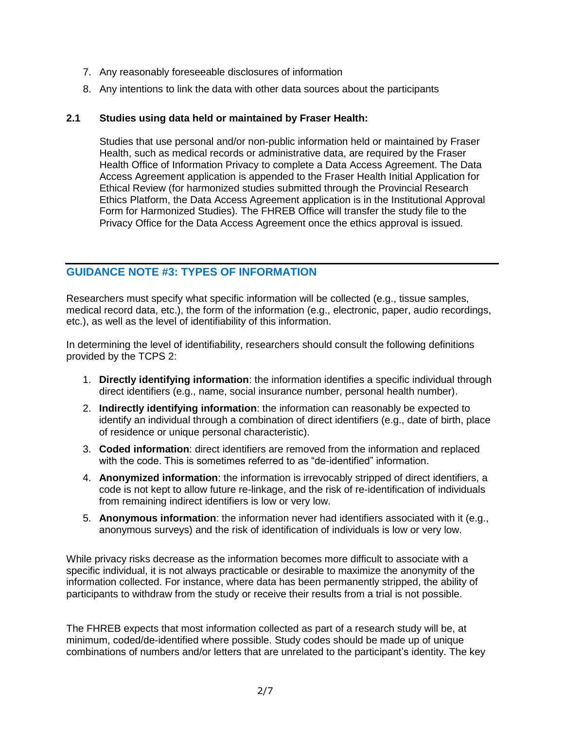- 7. Any reasonably foreseeable disclosures of information
- 8. Any intentions to link the data with other data sources about the participants

#### **2.1 Studies using data held or maintained by Fraser Health:**

Studies that use personal and/or non-public information held or maintained by Fraser Health, such as medical records or administrative data, are required by the Fraser Health Office of Information Privacy to complete a Data Access Agreement. The Data Access Agreement application is appended to the Fraser Health Initial Application for Ethical Review (for harmonized studies submitted through the Provincial Research Ethics Platform, the Data Access Agreement application is in the Institutional Approval Form for Harmonized Studies). The FHREB Office will transfer the study file to the Privacy Office for the Data Access Agreement once the ethics approval is issued.

### <span id="page-1-0"></span>**GUIDANCE NOTE #3: TYPES OF INFORMATION**

Researchers must specify what specific information will be collected (e.g., tissue samples, medical record data, etc.), the form of the information (e.g., electronic, paper, audio recordings, etc.), as well as the level of identifiability of this information.

In determining the level of identifiability, researchers should consult the following definitions provided by the TCPS 2:

- 1. **Directly identifying information**: the information identifies a specific individual through direct identifiers (e.g., name, social insurance number, personal health number).
- 2. **Indirectly identifying information**: the information can reasonably be expected to identify an individual through a combination of direct identifiers (e.g., date of birth, place of residence or unique personal characteristic).
- 3. **Coded information**: direct identifiers are removed from the information and replaced with the code. This is sometimes referred to as "de-identified" information.
- 4. **Anonymized information**: the information is irrevocably stripped of direct identifiers, a code is not kept to allow future re-linkage, and the risk of re-identification of individuals from remaining indirect identifiers is low or very low.
- 5. **Anonymous information**: the information never had identifiers associated with it (e.g., anonymous surveys) and the risk of identification of individuals is low or very low.

While privacy risks decrease as the information becomes more difficult to associate with a specific individual, it is not always practicable or desirable to maximize the anonymity of the information collected. For instance, where data has been permanently stripped, the ability of participants to withdraw from the study or receive their results from a trial is not possible.

The FHREB expects that most information collected as part of a research study will be, at minimum, coded/de-identified where possible. Study codes should be made up of unique combinations of numbers and/or letters that are unrelated to the participant's identity. The key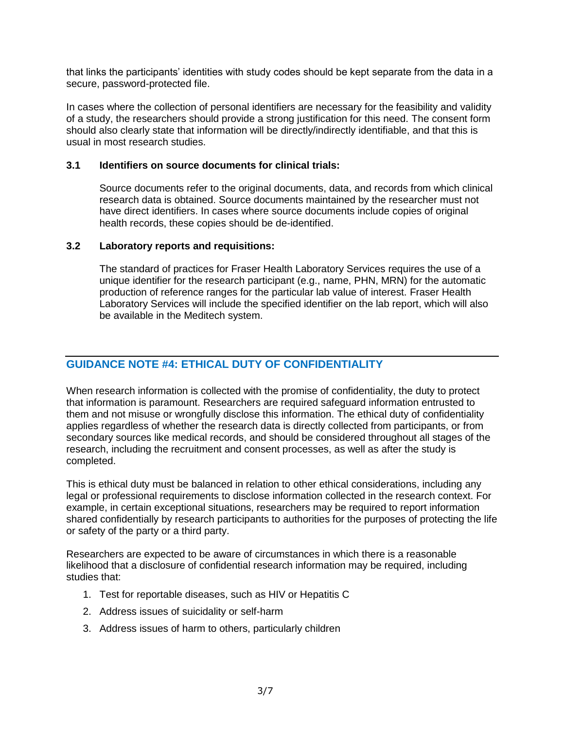that links the participants' identities with study codes should be kept separate from the data in a secure, password-protected file.

In cases where the collection of personal identifiers are necessary for the feasibility and validity of a study, the researchers should provide a strong justification for this need. The consent form should also clearly state that information will be directly/indirectly identifiable, and that this is usual in most research studies.

#### **3.1 Identifiers on source documents for clinical trials:**

Source documents refer to the original documents, data, and records from which clinical research data is obtained. Source documents maintained by the researcher must not have direct identifiers. In cases where source documents include copies of original health records, these copies should be de-identified.

#### **3.2 Laboratory reports and requisitions:**

The standard of practices for Fraser Health Laboratory Services requires the use of a unique identifier for the research participant (e.g., name, PHN, MRN) for the automatic production of reference ranges for the particular lab value of interest. Fraser Health Laboratory Services will include the specified identifier on the lab report, which will also be available in the Meditech system.

# **GUIDANCE NOTE #4: ETHICAL DUTY OF CONFIDENTIALITY**

When research information is collected with the promise of confidentiality, the duty to protect that information is paramount. Researchers are required safeguard information entrusted to them and not misuse or wrongfully disclose this information. The ethical duty of confidentiality applies regardless of whether the research data is directly collected from participants, or from secondary sources like medical records, and should be considered throughout all stages of the research, including the recruitment and consent processes, as well as after the study is completed.

This is ethical duty must be balanced in relation to other ethical considerations, including any legal or professional requirements to disclose information collected in the research context. For example, in certain exceptional situations, researchers may be required to report information shared confidentially by research participants to authorities for the purposes of protecting the life or safety of the party or a third party.

Researchers are expected to be aware of circumstances in which there is a reasonable likelihood that a disclosure of confidential research information may be required, including studies that:

- 1. Test for reportable diseases, such as HIV or Hepatitis C
- 2. Address issues of suicidality or self-harm
- 3. Address issues of harm to others, particularly children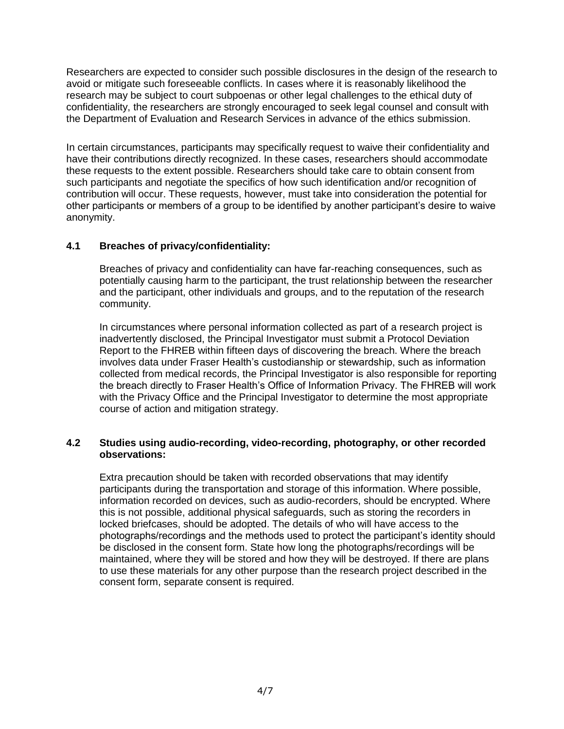Researchers are expected to consider such possible disclosures in the design of the research to avoid or mitigate such foreseeable conflicts. In cases where it is reasonably likelihood the research may be subject to court subpoenas or other legal challenges to the ethical duty of confidentiality, the researchers are strongly encouraged to seek legal counsel and consult with the Department of Evaluation and Research Services in advance of the ethics submission.

In certain circumstances, participants may specifically request to waive their confidentiality and have their contributions directly recognized. In these cases, researchers should accommodate these requests to the extent possible. Researchers should take care to obtain consent from such participants and negotiate the specifics of how such identification and/or recognition of contribution will occur. These requests, however, must take into consideration the potential for other participants or members of a group to be identified by another participant's desire to waive anonymity.

#### **4.1 Breaches of privacy/confidentiality:**

Breaches of privacy and confidentiality can have far-reaching consequences, such as potentially causing harm to the participant, the trust relationship between the researcher and the participant, other individuals and groups, and to the reputation of the research community.

In circumstances where personal information collected as part of a research project is inadvertently disclosed, the Principal Investigator must submit a Protocol Deviation Report to the FHREB within fifteen days of discovering the breach. Where the breach involves data under Fraser Health's custodianship or stewardship, such as information collected from medical records, the Principal Investigator is also responsible for reporting the breach directly to Fraser Health's Office of Information Privacy. The FHREB will work with the Privacy Office and the Principal Investigator to determine the most appropriate course of action and mitigation strategy.

#### **4.2 Studies using audio-recording, video-recording, photography, or other recorded observations:**

Extra precaution should be taken with recorded observations that may identify participants during the transportation and storage of this information. Where possible, information recorded on devices, such as audio-recorders, should be encrypted. Where this is not possible, additional physical safeguards, such as storing the recorders in locked briefcases, should be adopted. The details of who will have access to the photographs/recordings and the methods used to protect the participant's identity should be disclosed in the consent form. State how long the photographs/recordings will be maintained, where they will be stored and how they will be destroyed. If there are plans to use these materials for any other purpose than the research project described in the consent form, separate consent is required.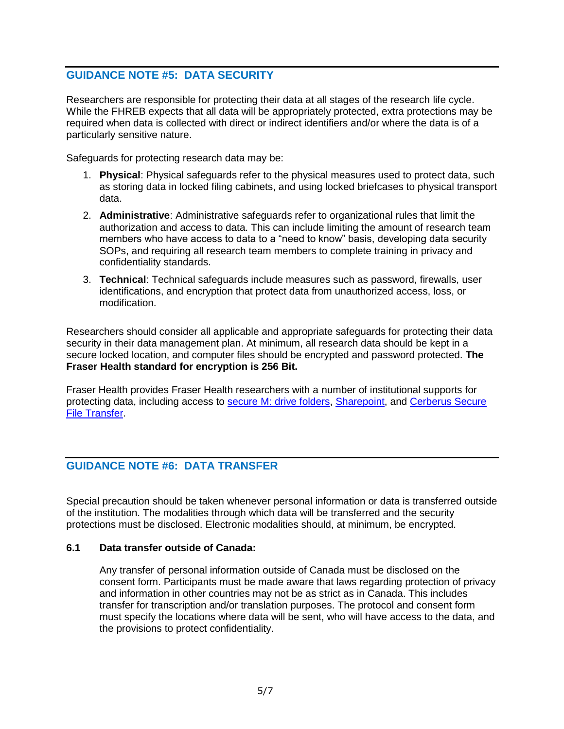# **GUIDANCE NOTE #5: DATA SECURITY**

Researchers are responsible for protecting their data at all stages of the research life cycle. While the FHREB expects that all data will be appropriately protected, extra protections may be required when data is collected with direct or indirect identifiers and/or where the data is of a particularly sensitive nature.

Safeguards for protecting research data may be:

- 1. **Physical**: Physical safeguards refer to the physical measures used to protect data, such as storing data in locked filing cabinets, and using locked briefcases to physical transport data.
- 2. **Administrative**: Administrative safeguards refer to organizational rules that limit the authorization and access to data. This can include limiting the amount of research team members who have access to data to a "need to know" basis, developing data security SOPs, and requiring all research team members to complete training in privacy and confidentiality standards.
- 3. **Technical**: Technical safeguards include measures such as password, firewalls, user identifications, and encryption that protect data from unauthorized access, loss, or modification.

Researchers should consider all applicable and appropriate safeguards for protecting their data security in their data management plan. At minimum, all research data should be kept in a secure locked location, and computer files should be encrypted and password protected. **The Fraser Health standard for encryption is 256 Bit.**

Fraser Health provides Fraser Health researchers with a number of institutional supports for protecting data, including access to [secure M: drive folders,](http://fhpulse/computers_and_technology/service_catalogue/Lists/Service%20Catalogue/DispForm.aspx?ID=864) [Sharepoint,](http://fhpulse/computers_and_technology/service_catalogue/Lists/Service%20Catalogue/DispForm.aspx?ID=872) and [Cerberus Secure](http://fhpulse/computers_and_technology/online_resources/Pages/cerberus_secure_file_transfer.aspx)  [File Transfer.](http://fhpulse/computers_and_technology/online_resources/Pages/cerberus_secure_file_transfer.aspx)

# **GUIDANCE NOTE #6: DATA TRANSFER**

Special precaution should be taken whenever personal information or data is transferred outside of the institution. The modalities through which data will be transferred and the security protections must be disclosed. Electronic modalities should, at minimum, be encrypted.

#### **6.1 Data transfer outside of Canada:**

Any transfer of personal information outside of Canada must be disclosed on the consent form. Participants must be made aware that laws regarding protection of privacy and information in other countries may not be as strict as in Canada. This includes transfer for transcription and/or translation purposes. The protocol and consent form must specify the locations where data will be sent, who will have access to the data, and the provisions to protect confidentiality.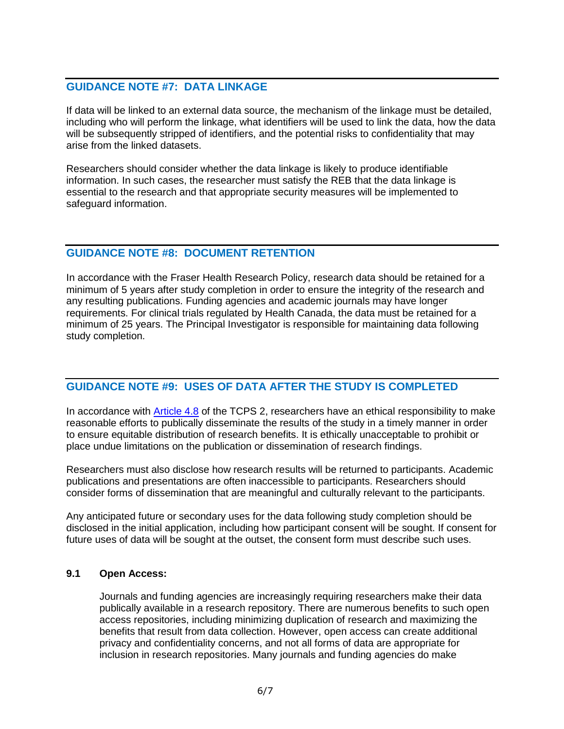### **GUIDANCE NOTE #7: DATA LINKAGE**

If data will be linked to an external data source, the mechanism of the linkage must be detailed, including who will perform the linkage, what identifiers will be used to link the data, how the data will be subsequently stripped of identifiers, and the potential risks to confidentiality that may arise from the linked datasets.

Researchers should consider whether the data linkage is likely to produce identifiable information. In such cases, the researcher must satisfy the REB that the data linkage is essential to the research and that appropriate security measures will be implemented to safeguard information.

### **GUIDANCE NOTE #8: DOCUMENT RETENTION**

In accordance with the Fraser Health Research Policy, research data should be retained for a minimum of 5 years after study completion in order to ensure the integrity of the research and any resulting publications. Funding agencies and academic journals may have longer requirements. For clinical trials regulated by Health Canada, the data must be retained for a minimum of 25 years. The Principal Investigator is responsible for maintaining data following study completion.

### **GUIDANCE NOTE #9: USES OF DATA AFTER THE STUDY IS COMPLETED**

In accordance with [Article 4.8](https://ethics.gc.ca/eng/tcps2-eptc2_2018_chapter4-chapitre4.html) of the TCPS 2, researchers have an ethical responsibility to make reasonable efforts to publically disseminate the results of the study in a timely manner in order to ensure equitable distribution of research benefits. It is ethically unacceptable to prohibit or place undue limitations on the publication or dissemination of research findings.

Researchers must also disclose how research results will be returned to participants. Academic publications and presentations are often inaccessible to participants. Researchers should consider forms of dissemination that are meaningful and culturally relevant to the participants.

Any anticipated future or secondary uses for the data following study completion should be disclosed in the initial application, including how participant consent will be sought. If consent for future uses of data will be sought at the outset, the consent form must describe such uses.

#### **9.1 Open Access:**

Journals and funding agencies are increasingly requiring researchers make their data publically available in a research repository. There are numerous benefits to such open access repositories, including minimizing duplication of research and maximizing the benefits that result from data collection. However, open access can create additional privacy and confidentiality concerns, and not all forms of data are appropriate for inclusion in research repositories. Many journals and funding agencies do make